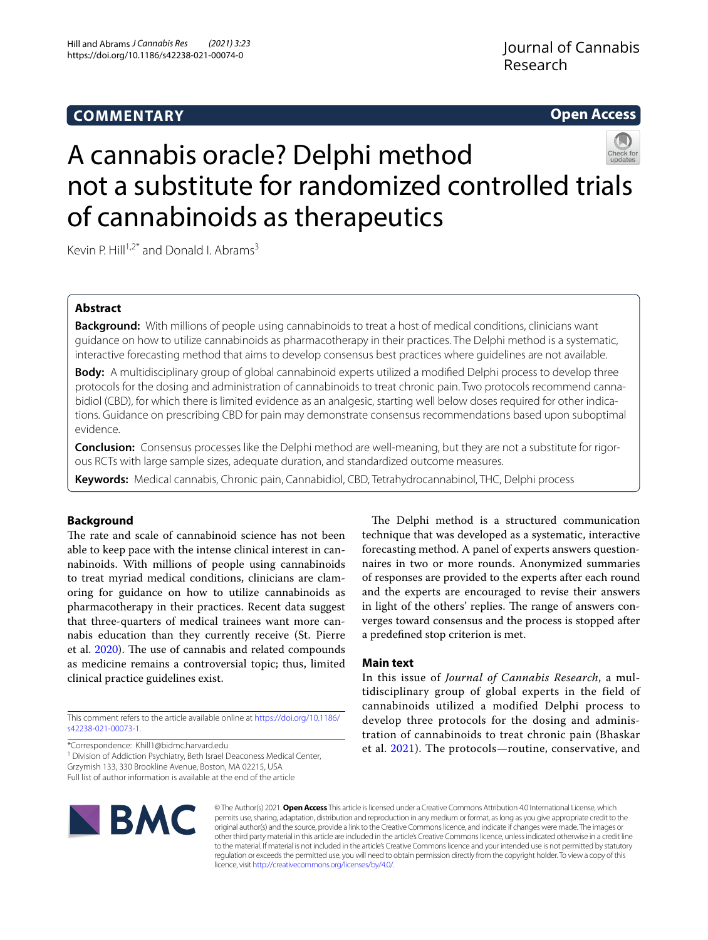# **COMMENTARY**

# **Open Access**



# A cannabis oracle? Delphi method not a substitute for randomized controlled trials of cannabinoids as therapeutics

Kevin P. Hill<sup>1,2\*</sup> and Donald I. Abrams<sup>3</sup>

# **Abstract**

**Background:** With millions of people using cannabinoids to treat a host of medical conditions, clinicians want guidance on how to utilize cannabinoids as pharmacotherapy in their practices. The Delphi method is a systematic, interactive forecasting method that aims to develop consensus best practices where guidelines are not available.

**Body:** A multidisciplinary group of global cannabinoid experts utilized a modifed Delphi process to develop three protocols for the dosing and administration of cannabinoids to treat chronic pain. Two protocols recommend cannabidiol (CBD), for which there is limited evidence as an analgesic, starting well below doses required for other indications. Guidance on prescribing CBD for pain may demonstrate consensus recommendations based upon suboptimal evidence.

**Conclusion:** Consensus processes like the Delphi method are well-meaning, but they are not a substitute for rigorous RCTs with large sample sizes, adequate duration, and standardized outcome measures.

**Keywords:** Medical cannabis, Chronic pain, Cannabidiol, CBD, Tetrahydrocannabinol, THC, Delphi process

## **Background**

The rate and scale of cannabinoid science has not been able to keep pace with the intense clinical interest in cannabinoids. With millions of people using cannabinoids to treat myriad medical conditions, clinicians are clamoring for guidance on how to utilize cannabinoids as pharmacotherapy in their practices. Recent data suggest that three-quarters of medical trainees want more cannabis education than they currently receive (St. Pierre et al. [2020](#page-2-0)). The use of cannabis and related compounds as medicine remains a controversial topic; thus, limited clinical practice guidelines exist.

This comment refers to the article available online at [https://doi.org/10.1186/](https://doi.org/10.1186/s42238-021-00073-1) [s42238-021-00073-1](https://doi.org/10.1186/s42238-021-00073-1).

\*Correspondence: Khill1@bidmc.harvard.edu

<sup>1</sup> Division of Addiction Psychiatry, Beth Israel Deaconess Medical Center, Grzymish 133, 330 Brookline Avenue, Boston, MA 02215, USA Full list of author information is available at the end of the article

The Delphi method is a structured communication technique that was developed as a systematic, interactive forecasting method. A panel of experts answers questionnaires in two or more rounds. Anonymized summaries of responses are provided to the experts after each round and the experts are encouraged to revise their answers in light of the others' replies. The range of answers converges toward consensus and the process is stopped after a predefned stop criterion is met.

## **Main text**

In this issue of *Journal of Cannabis Research*, a multidisciplinary group of global experts in the field of cannabinoids utilized a modified Delphi process to develop three protocols for the dosing and administration of cannabinoids to treat chronic pain (Bhaskar et al. [2021](#page-1-0)). The protocols—routine, conservative, and



© The Author(s) 2021. **Open Access** This article is licensed under a Creative Commons Attribution 4.0 International License, which permits use, sharing, adaptation, distribution and reproduction in any medium or format, as long as you give appropriate credit to the original author(s) and the source, provide a link to the Creative Commons licence, and indicate if changes were made. The images or other third party material in this article are included in the article's Creative Commons licence, unless indicated otherwise in a credit line to the material. If material is not included in the article's Creative Commons licence and your intended use is not permitted by statutory regulation or exceeds the permitted use, you will need to obtain permission directly from the copyright holder. To view a copy of this licence, visit [http://creativecommons.org/licenses/by/4.0/.](http://creativecommons.org/licenses/by/4.0/)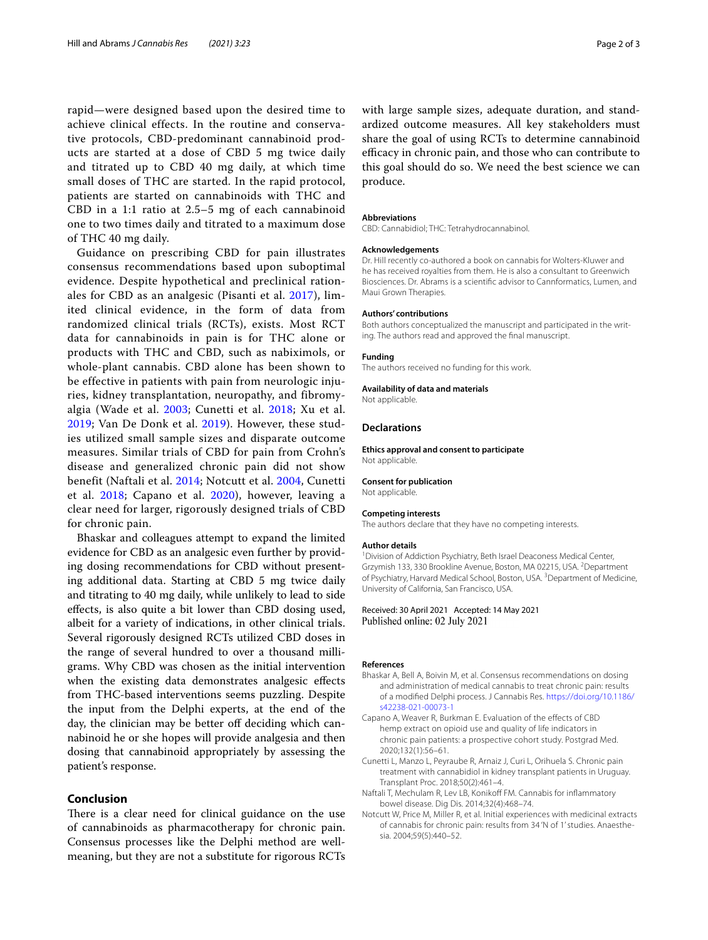rapid—were designed based upon the desired time to achieve clinical effects. In the routine and conservative protocols, CBD-predominant cannabinoid products are started at a dose of CBD 5 mg twice daily and titrated up to CBD 40 mg daily, at which time small doses of THC are started. In the rapid protocol, patients are started on cannabinoids with THC and CBD in a 1:1 ratio at 2.5–5 mg of each cannabinoid one to two times daily and titrated to a maximum dose of THC 40 mg daily.

Guidance on prescribing CBD for pain illustrates consensus recommendations based upon suboptimal evidence. Despite hypothetical and preclinical rationales for CBD as an analgesic (Pisanti et al. [2017\)](#page-2-1), limited clinical evidence, in the form of data from randomized clinical trials (RCTs), exists. Most RCT data for cannabinoids in pain is for THC alone or products with THC and CBD, such as nabiximols, or whole-plant cannabis. CBD alone has been shown to be effective in patients with pain from neurologic injuries, kidney transplantation, neuropathy, and fibromyalgia (Wade et al. [2003](#page-2-2); Cunetti et al. [2018;](#page-1-1) Xu et al. [2019](#page-2-3); Van De Donk et al. [2019](#page-2-4)). However, these studies utilized small sample sizes and disparate outcome measures. Similar trials of CBD for pain from Crohn's disease and generalized chronic pain did not show benefit (Naftali et al. [2014](#page-1-2); Notcutt et al. [2004](#page-1-3), Cunetti et al. [2018;](#page-1-1) Capano et al. [2020\)](#page-1-4), however, leaving a clear need for larger, rigorously designed trials of CBD for chronic pain.

Bhaskar and colleagues attempt to expand the limited evidence for CBD as an analgesic even further by providing dosing recommendations for CBD without presenting additional data. Starting at CBD 5 mg twice daily and titrating to 40 mg daily, while unlikely to lead to side efects, is also quite a bit lower than CBD dosing used, albeit for a variety of indications, in other clinical trials. Several rigorously designed RCTs utilized CBD doses in the range of several hundred to over a thousand milligrams. Why CBD was chosen as the initial intervention when the existing data demonstrates analgesic efects from THC-based interventions seems puzzling. Despite the input from the Delphi experts, at the end of the day, the clinician may be better off deciding which cannabinoid he or she hopes will provide analgesia and then dosing that cannabinoid appropriately by assessing the patient's response.

## **Conclusion**

There is a clear need for clinical guidance on the use of cannabinoids as pharmacotherapy for chronic pain. Consensus processes like the Delphi method are wellmeaning, but they are not a substitute for rigorous RCTs with large sample sizes, adequate duration, and standardized outcome measures. All key stakeholders must share the goal of using RCTs to determine cannabinoid efficacy in chronic pain, and those who can contribute to this goal should do so. We need the best science we can produce.

#### **Abbreviations**

CBD: Cannabidiol; THC: Tetrahydrocannabinol.

#### **Acknowledgements**

Dr. Hill recently co-authored a book on cannabis for Wolters-Kluwer and he has received royalties from them. He is also a consultant to Greenwich Biosciences. Dr. Abrams is a scientifc advisor to Cannformatics, Lumen, and Maui Grown Therapies.

#### **Authors' contributions**

Both authors conceptualized the manuscript and participated in the writing. The authors read and approved the fnal manuscript.

#### **Funding**

The authors received no funding for this work.

#### **Availability of data and materials**

Not applicable.

#### **Declarations**

**Ethics approval and consent to participate** Not applicable.

#### **Consent for publication**

Not applicable.

#### **Competing interests**

The authors declare that they have no competing interests.

#### **Author details**

<sup>1</sup> Division of Addiction Psychiatry, Beth Israel Deaconess Medical Center, Grzymish 133, 330 Brookline Avenue, Boston, MA 02215, USA. <sup>2</sup> Department of Psychiatry, Harvard Medical School, Boston, USA. <sup>3</sup> Department of Medicine, University of California, San Francisco, USA.

#### Received: 30 April 2021 Accepted: 14 May 2021 Published online: 02 July 2021

#### **References**

- <span id="page-1-0"></span>Bhaskar A, Bell A, Boivin M, et al. Consensus recommendations on dosing and administration of medical cannabis to treat chronic pain: results of a modifed Delphi process. J Cannabis Res. [https://doi.org/10.1186/](https://doi.org/10.1186/s42238-021-00073-1) [s42238-021-00073-1](https://doi.org/10.1186/s42238-021-00073-1)
- <span id="page-1-4"></span>Capano A, Weaver R, Burkman E. Evaluation of the effects of CBD hemp extract on opioid use and quality of life indicators in chronic pain patients: a prospective cohort study. Postgrad Med. 2020;132(1):56–61.
- <span id="page-1-1"></span>Cunetti L, Manzo L, Peyraube R, Arnaiz J, Curi L, Orihuela S. Chronic pain treatment with cannabidiol in kidney transplant patients in Uruguay. Transplant Proc. 2018;50(2):461–4.
- <span id="page-1-2"></span>Naftali T, Mechulam R, Lev LB, Konikoff FM. Cannabis for inflammatory bowel disease. Dig Dis. 2014;32(4):468–74.
- <span id="page-1-3"></span>Notcutt W, Price M, Miller R, et al. Initial experiences with medicinal extracts of cannabis for chronic pain: results from 34 'N of 1' studies. Anaesthesia. 2004;59(5):440–52.